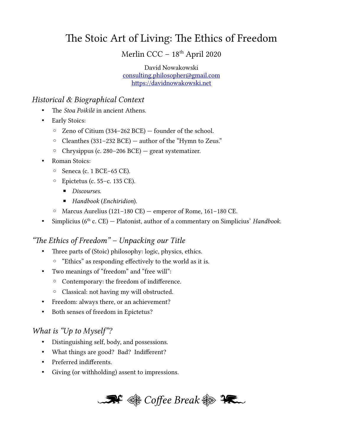# The Stoic Art of Living: The Ethics of Freedom

Merlin CCC - 18<sup>th</sup> April 2020

David Nowakowski [consulting.philosopher@gmail.com](mailto:consulting.philosopher@gmail.com) [https://davidnowakowski.net](https://davidnowakowski.net/)

#### Historical & Biographical Context

- The *Stoa Poikile* in ancient Athens.
- Early Stoics:
	- Zeno of Citium (334–262 BCE) founder of the school.
	- Cleanthes (331–232 BCE) author of the "Hymn to Zeus."
	- Chrysippus (c. 280–206 BCE) great systematizer.
- Roman Stoics:
	- Seneca (c. 1 BCE–65 CE).
	- Epictetus (c. 55–c. 135 CE).
		- Discourses.
		- Handbook (Enchiridion).
	- Marcus Aurelius (121–180 CE) emperor of Rome, 161–180 CE.
- Simplicius ( $6<sup>th</sup>$  c. CE) Platonist, author of a commentary on Simplicius' Handbook.

#### "The Ethics of Freedom" – Unpacking our Title

- Three parts of (Stoic) philosophy: logic, physics, ethics.
	- "Ethics" as responding effectively to the world as it is.
- Two meanings of "freedom" and "free will":
	- Contemporary: the freedom of indifference.
	- Classical: not having my will obstructed.
- Freedom: always there, or an achievement?
- Both senses of freedom in Epictetus?

#### What is "Up to Myself"?

- Distinguishing self, body, and possessions.
- What things are good? Bad? Indifferent?
- Preferred indifferents.
- Giving (or withholding) assent to impressions.

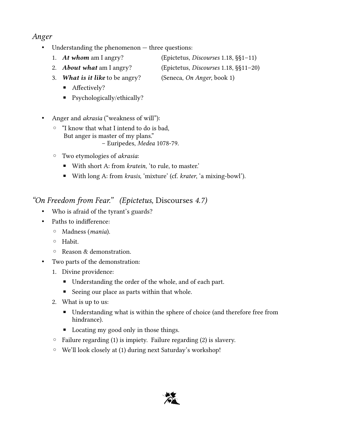## Anger

- Understanding the phenomenon three questions:
	- 1. At whom am I angry? (Epictetus, Discourses 1.18, §§1-11)
	-
	- 3. What is it like to be angry? (Seneca, On Anger, book 1)
		- Affectively?
		- Psychologically/ethically?
- Anger and *akrasia* ("weakness of will"):
	- "I know that what I intend to do is bad, But anger is master of my plans." – Euripedes, Medea 1078-79.
	- Two etymologies of akrasia:
		- With short A: from *kratein*, 'to rule, to master.'
		- With long A: from *krasis*, 'mixture' (cf. *krater*, 'a mixing-bowl').

## "On Freedom from Fear." (Epictetus, Discourses 4.7)

- Who is afraid of the tyrant's guards?
- Paths to indifference:
	- Madness (mania).
	- Habit.
	- Reason & demonstration.
- Two parts of the demonstration:
	- 1. Divine providence:
		- Understanding the order of the whole, and of each part.
		- Seeing our place as parts within that whole.
	- 2. What is up to us:
		- Understanding what is within the sphere of choice (and therefore free from hindrance).
		- Locating my good only in those things.
	- $\circ$  Failure regarding (1) is impiety. Failure regarding (2) is slavery.
	- We'll look closely at (1) during next Saturday's workshop!



- 
- 2. **About what** am I angry? (Epictetus, Discourses 1.18, §§11-20)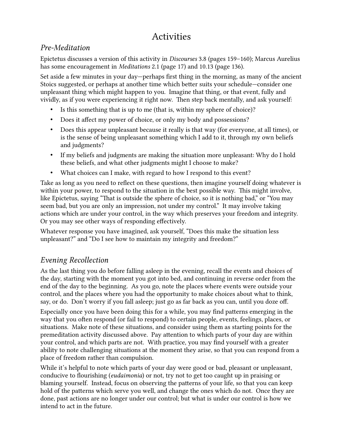# Activities

### Pre-Meditation

Epictetus discusses a version of this activity in Discourses 3.8 (pages 159–160); Marcus Aurelius has some encouragement in Meditations 2.1 (page 17) and 10.13 (page 136).

Set aside a few minutes in your day—perhaps first thing in the morning, as many of the ancient Stoics suggested, or perhaps at another time which better suits your schedule—consider one unpleasant thing which might happen to you. Imagine that thing, or that event, fully and vividly, as if you were experiencing it right now. Then step back mentally, and ask yourself:

- Is this something that is up to me (that is, within my sphere of choice)?
- Does it affect my power of choice, or only my body and possessions?
- Does this appear unpleasant because it really is that way (for everyone, at all times), or is the sense of being unpleasant something which I add to it, through my own beliefs and judgments?
- If my beliefs and judgments are making the situation more unpleasant: Why do I hold these beliefs, and what other judgments might I choose to make?
- What choices can I make, with regard to how I respond to this event?

Take as long as you need to reflect on these questions, then imagine yourself doing whatever is within your power, to respond to the situation in the best possible way. This might involve, like Epictetus, saying "That is outside the sphere of choice, so it is nothing bad," or "You may seem bad, but you are only an impression, not under my control." It may involve taking actions which are under your control, in the way which preserves your freedom and integrity. Or you may see other ways of responding effectively.

Whatever response you have imagined, ask yourself, "Does this make the situation less unpleasant?" and "Do I see how to maintain my integrity and freedom?"

### Evening Recollection

As the last thing you do before falling asleep in the evening, recall the events and choices of the day, starting with the moment you got into bed, and continuing in reverse order from the end of the day to the beginning. As you go, note the places where events were outside your control, and the places where you had the opportunity to make choices about what to think, say, or do. Don't worry if you fall asleep; just go as far back as you can, until you doze off.

Especially once you have been doing this for a while, you may find patterns emerging in the way that you often respond (or fail to respond) to certain people, events, feelings, places, or situations. Make note of these situations, and consider using them as starting points for the premeditation activity discussed above. Pay attention to which parts of your day are within your control, and which parts are not. With practice, you may find yourself with a greater ability to note challenging situations at the moment they arise, so that you can respond from a place of freedom rather than compulsion.

While it's helpful to note which parts of your day were good or bad, pleasant or unpleasant, conducive to flourishing (eudaimonia) or not, try not to get too caught up in praising or blaming yourself. Instead, focus on observing the patterns of your life, so that you can keep hold of the patterns which serve you well, and change the ones which do not. Once they are done, past actions are no longer under our control; but what is under our control is how we intend to act in the future.